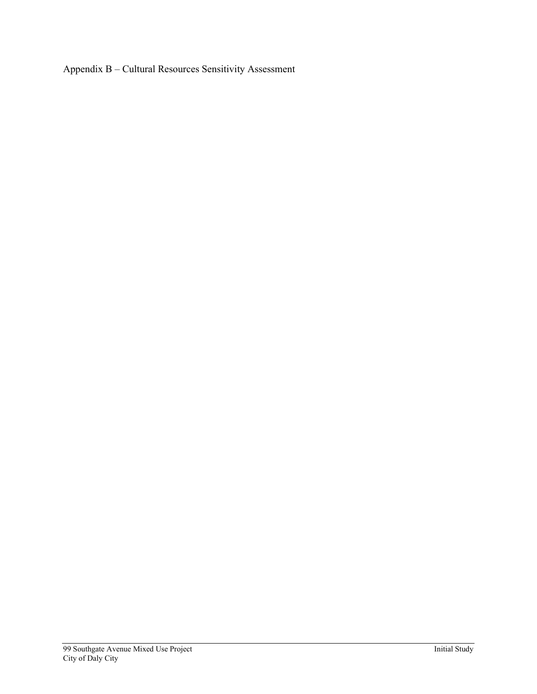Appendix B – Cultural Resources Sensitivity Assessment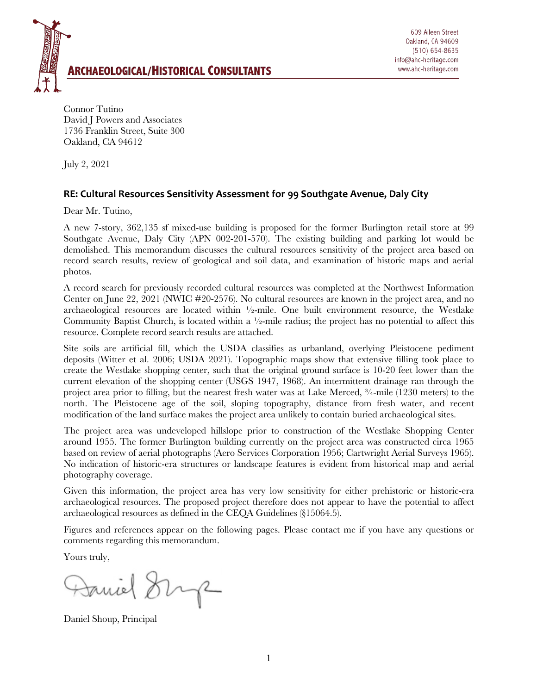

Connor Tutino David J Powers and Associates 1736 Franklin Street, Suite 300 Oakland, CA 94612

July 2, 2021

## **RE: Cultural Resources Sensitivity Assessment for 99 Southgate Avenue, Daly City**

Dear Mr. Tutino,

A new 7-story, 362,135 sf mixed-use building is proposed for the former Burlington retail store at 99 Southgate Avenue, Daly City (APN 002-201-570). The existing building and parking lot would be demolished. This memorandum discusses the cultural resources sensitivity of the project area based on record search results, review of geological and soil data, and examination of historic maps and aerial photos.

A record search for previously recorded cultural resources was completed at the Northwest Information Center on June 22, 2021 (NWIC #20-2576). No cultural resources are known in the project area, and no archaeological resources are located within  $\frac{1}{2}$ -mile. One built environment resource, the Westlake Community Baptist Church, is located within a ½-mile radius; the project has no potential to affect this resource. Complete record search results are attached.

Site soils are artificial fill, which the USDA classifies as urbanland, overlying Pleistocene pediment deposits (Witter et al. 2006; USDA 2021). Topographic maps show that extensive filling took place to create the Westlake shopping center, such that the original ground surface is 10-20 feet lower than the current elevation of the shopping center (USGS 1947, 1968). An intermittent drainage ran through the project area prior to filling, but the nearest fresh water was at Lake Merced, ¾-mile (1230 meters) to the north. The Pleistocene age of the soil, sloping topography, distance from fresh water, and recent modification of the land surface makes the project area unlikely to contain buried archaeological sites.

The project area was undeveloped hillslope prior to construction of the Westlake Shopping Center around 1955. The former Burlington building currently on the project area was constructed circa 1965 based on review of aerial photographs (Aero Services Corporation 1956; Cartwright Aerial Surveys 1965). No indication of historic-era structures or landscape features is evident from historical map and aerial photography coverage.

Given this information, the project area has very low sensitivity for either prehistoric or historic-era archaeological resources. The proposed project therefore does not appear to have the potential to affect archaeological resources as defined in the CEQA Guidelines (§15064.5).

Figures and references appear on the following pages. Please contact me if you have any questions or comments regarding this memorandum.

Yours truly,

Janiel Sing

Daniel Shoup, Principal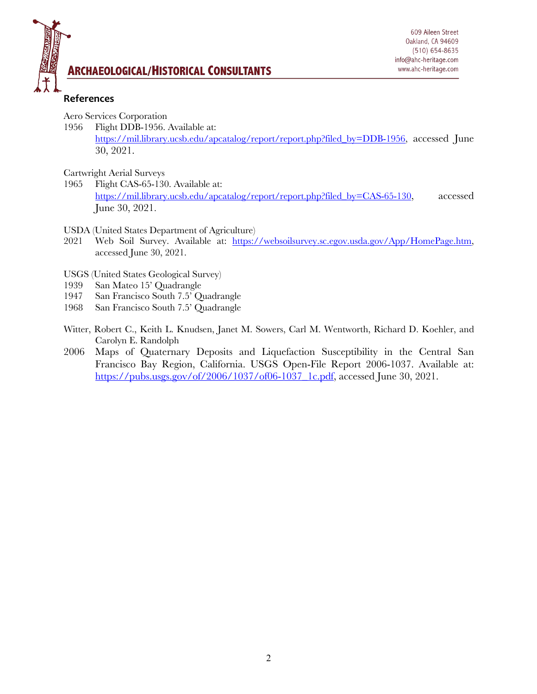

## **ARCHAEOLOGICAL/HISTORICAL CONSULTANTS**

## **References**

Aero Services Corporation

1956 Flight DDB-1956. Available at:

https://mil.library.ucsb.edu/apcatalog/report/report.php?filed\_by=DDB-1956, accessed June 30, 2021.

Cartwright Aerial Surveys

- 1965 Flight CAS-65-130. Available at: https://mil.library.ucsb.edu/apcatalog/report/report.php?filed\_by=CAS-65-130, accessed June 30, 2021.
- USDA (United States Department of Agriculture)
- 2021 Web Soil Survey. Available at: https://websoilsurvey.sc.egov.usda.gov/App/HomePage.htm, accessed June 30, 2021.
- USGS (United States Geological Survey)
- 1939 San Mateo 15' Quadrangle
- 1947 San Francisco South 7.5' Quadrangle
- 1968 San Francisco South 7.5' Quadrangle
- Witter, Robert C., Keith L. Knudsen, Janet M. Sowers, Carl M. Wentworth, Richard D. Koehler, and Carolyn E. Randolph
- 2006 Maps of Quaternary Deposits and Liquefaction Susceptibility in the Central San Francisco Bay Region, California. USGS Open-File Report 2006-1037. Available at: https://pubs.usgs.gov/of/2006/1037/of06-1037\_1c.pdf, accessed June 30, 2021.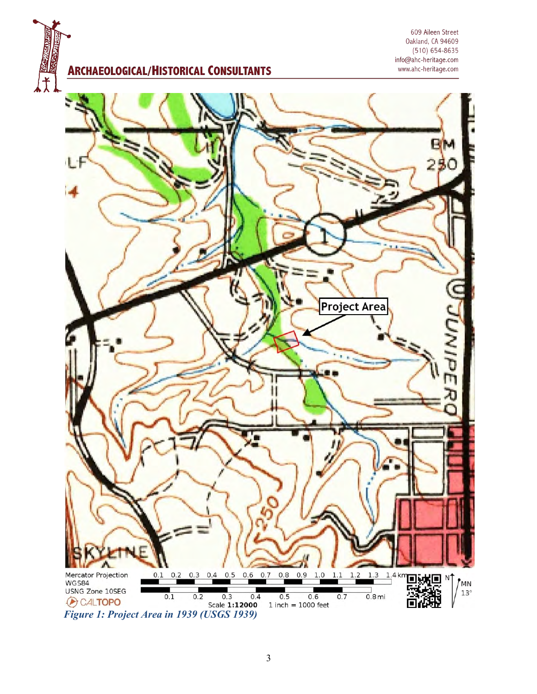**ARCHAEOLOGICAL/HISTORICAL CONSULTANTS** 

609 Aileen Street Oakland, CA 94609  $(510) 654 - 8635$ info@ahc-heritage.com www.ahc-heritage.com

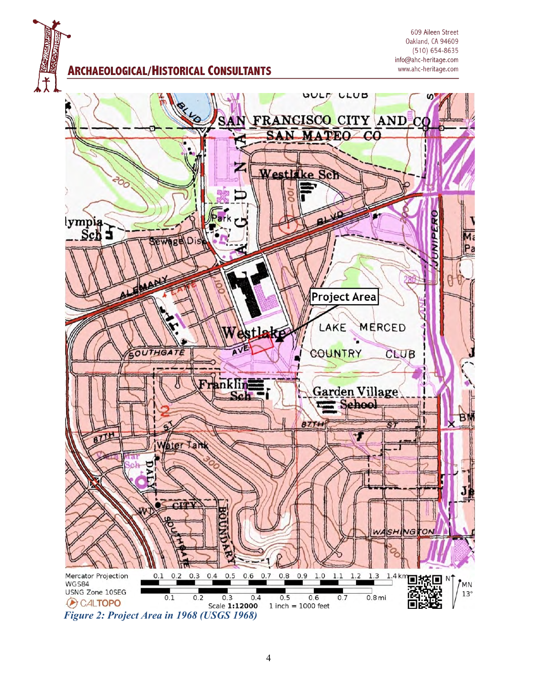**ARCHAEOLOGICAL/HISTORICAL CONSULTANTS** 

609 Aileen Street Oakland, CA 94609  $(510) 654 - 8635$ info@ahc-heritage.com www.ahc-heritage.com

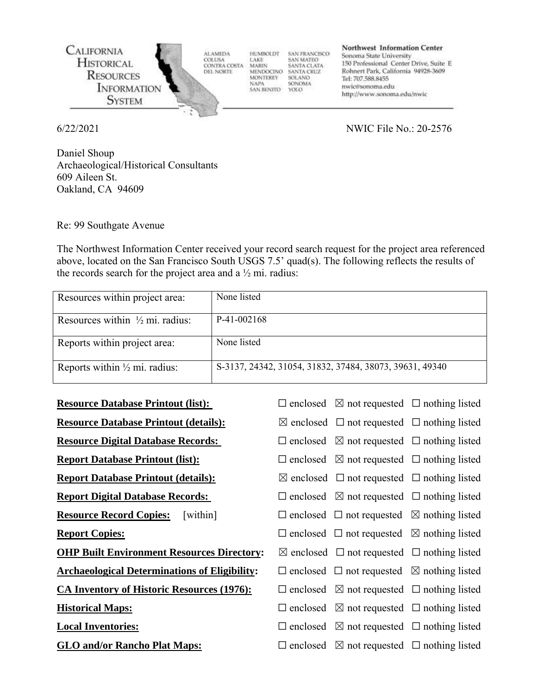

6/22/2021 NWIC File No.: 20-2576

Daniel Shoup Archaeological/Historical Consultants 609 Aileen St. Oakland, CA 94609

Re: 99 Southgate Avenue

The Northwest Information Center received your record search request for the project area referenced above, located on the San Francisco South USGS 7.5' quad(s). The following reflects the results of the records search for the project area and a ½ mi. radius:

| Resources within project area:             | None listed                                             |
|--------------------------------------------|---------------------------------------------------------|
| Resources within $\frac{1}{2}$ mi. radius: | P-41-002168                                             |
| Reports within project area:               | None listed                                             |
| Reports within $\frac{1}{2}$ mi. radius:   | S-3137, 24342, 31054, 31832, 37484, 38073, 39631, 49340 |

| <b>Resource Database Printout (list):</b>            | $\Box$ enclosed $\boxtimes$ not requested $\Box$ nothing listed |  |
|------------------------------------------------------|-----------------------------------------------------------------|--|
| <b>Resource Database Printout (details):</b>         | $\boxtimes$ enclosed $\Box$ not requested $\Box$ nothing listed |  |
| <b>Resource Digital Database Records:</b>            | $\Box$ enclosed $\boxtimes$ not requested $\Box$ nothing listed |  |
| <b>Report Database Printout (list):</b>              | $\Box$ enclosed $\boxtimes$ not requested $\Box$ nothing listed |  |
| <b>Report Database Printout (details):</b>           | $\boxtimes$ enclosed $\Box$ not requested $\Box$ nothing listed |  |
| <b>Report Digital Database Records:</b>              | $\Box$ enclosed $\boxtimes$ not requested $\Box$ nothing listed |  |
| <b>Resource Record Copies:</b><br>[within]           | $\Box$ enclosed $\Box$ not requested $\boxtimes$ nothing listed |  |
| <b>Report Copies:</b>                                | $\Box$ enclosed $\Box$ not requested $\boxtimes$ nothing listed |  |
| <b>OHP Built Environment Resources Directory:</b>    | $\boxtimes$ enclosed $\Box$ not requested $\Box$ nothing listed |  |
| <b>Archaeological Determinations of Eligibility:</b> | $\Box$ enclosed $\Box$ not requested $\boxtimes$ nothing listed |  |
| <b>CA Inventory of Historic Resources (1976):</b>    | $\Box$ enclosed $\boxtimes$ not requested $\Box$ nothing listed |  |
| <b>Historical Maps:</b>                              | $\Box$ enclosed $\boxtimes$ not requested $\Box$ nothing listed |  |
| <b>Local Inventories:</b>                            | $\Box$ enclosed $\boxtimes$ not requested $\Box$ nothing listed |  |
| <b>GLO and/or Rancho Plat Maps:</b>                  | $\Box$ enclosed $\boxtimes$ not requested $\Box$ nothing listed |  |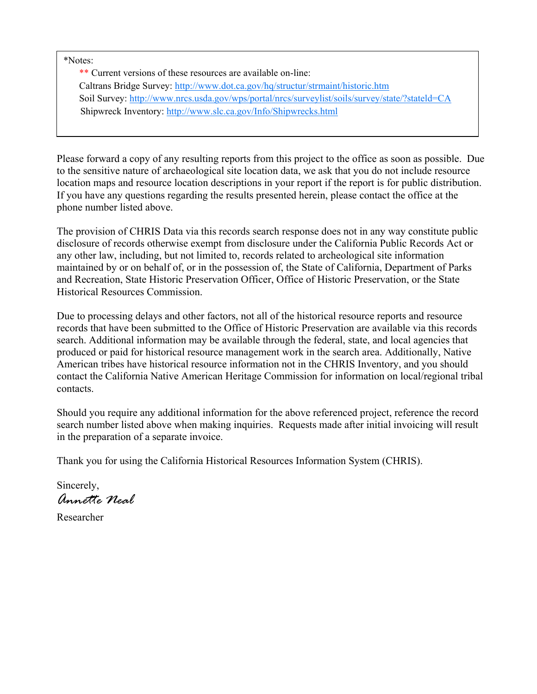\*Notes:

\*\* Current versions of these resources are available on-line: Caltrans Bridge Survey:<http://www.dot.ca.gov/hq/structur/strmaint/historic.htm> Soil Survey: http://www.nrcs.usda.gov/wps/portal/nrcs/surveylist/soils/survey/state/?stateld=CA Shipwreck Inventory:<http://www.slc.ca.gov/Info/Shipwrecks.html>

Please forward a copy of any resulting reports from this project to the office as soon as possible. Due to the sensitive nature of archaeological site location data, we ask that you do not include resource location maps and resource location descriptions in your report if the report is for public distribution. If you have any questions regarding the results presented herein, please contact the office at the phone number listed above.

The provision of CHRIS Data via this records search response does not in any way constitute public disclosure of records otherwise exempt from disclosure under the California Public Records Act or any other law, including, but not limited to, records related to archeological site information maintained by or on behalf of, or in the possession of, the State of California, Department of Parks and Recreation, State Historic Preservation Officer, Office of Historic Preservation, or the State Historical Resources Commission.

Due to processing delays and other factors, not all of the historical resource reports and resource records that have been submitted to the Office of Historic Preservation are available via this records search. Additional information may be available through the federal, state, and local agencies that produced or paid for historical resource management work in the search area. Additionally, Native American tribes have historical resource information not in the CHRIS Inventory, and you should contact the California Native American Heritage Commission for information on local/regional tribal contacts.

Should you require any additional information for the above referenced project, reference the record search number listed above when making inquiries. Requests made after initial invoicing will result in the preparation of a separate invoice.

Thank you for using the California Historical Resources Information System (CHRIS).

Sincerely, *Annette Neal*

Researcher